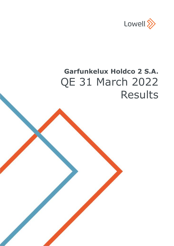

# **Garfunkelux Holdco 2 S.A.** QE 31 March 2022 Results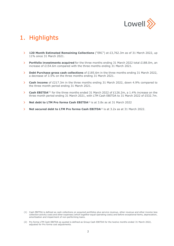

# 1. Highlights

- **120 Month Estimated Remaining Collections** ("ERC") at £3,762.3m as of 31 March 2022, up  $\mathbf{\Sigma}$ 11% since 31 March 2021.
- **Portfolio investments acquired** for the three months ending 31 March 2022 total £188.0m, an  $\mathbf{\bar{S}}$ increase of £154.6m compared with the three months ending 31 March 2021.
- **Debt Purchase gross cash collections** of £185.6m in the three months ending 31 March 2022,  $\rightarrow$ a decrease of 3.5% on the three months ending 31 March 2021.
- **Cash income** of £217.3m in the three months ending 31 March 2022, down 4.9% compared to  $\overline{\phantom{1}}$ the three month period ending 31 March 2021.
- **Cash EBITDA**<sup>(1)</sup> for the three months ended 31 March 2022 of £126.2m, a 1.4% increase on the  $\mathbf{\bar{z}}$ three month period ending 31 March 2021, with LTM Cash EBITDA to 31 March 2022 of £532.7m.
- $\rightarrow$ **Net debt to LTM Pro forma Cash EBITDA<sup>(2)</sup> is at 3.8x as at 31 March 2022**
- $\rightarrow$ **Net secured debt to LTM Pro forma Cash EBITDA**<sup>(2)</sup> is at 3.2x as at 31 March 2022.

<sup>(1)</sup> Cash EBITDA is defined as cash collections on acquired portfolios plus service revenue, other revenue and other income less collection activity costs and other expenses (which together equal operating costs) and before exceptional items, depreciation, amortisation and impairment of non-performing loans.

<sup>(2)</sup> Pro forma LTM Cash EBITDA as quoted is defined as Group Cash EBITDA for the twelve months ended 31 March 2022, adjusted for Pro forma cost adjustments.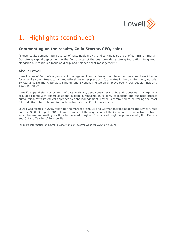

# 1. Highlights (continued)

# **Commenting on the results, Colin Storrar, CEO, said:**

"These results demonstrate a quarter of sustainable growth and continued strength of our EBITDA margin. Our strong capital deployment in the first quarter of the year provides a strong foundation for growth, alongside our continued focus on disciplined balance sheet management."

# About Lowell:

Lowell is one of Europe's largest credit management companies with a mission to make credit work better for all and a commitment to fair and ethical customer practices. It operates in the UK, Germany, Austria, Switzerland, Denmark, Norway, Finland, and Sweden. The Group employs over 4,000 people, including 1,500 in the UK.

Lowell's unparalleled combination of data analytics, deep consumer insight and robust risk management provides clients with expert solutions in debt purchasing, third party collections and business process outsourcing. With its ethical approach to debt management, Lowell is committed to delivering the most fair and affordable outcome for each customer's specific circumstances.

Lowell was formed in 2015 following the merger of the UK and German market leaders: the Lowell Group and the GFKL Group. In 2018, Lowell completed the acquisition of the Carve-out Business from Intrum, which has market leading positions in the Nordic region. It is backed by global private equity firm Permira and Ontario Teachers' Pension Plan.

For more information on Lowell, please visit our investor website: [www.lowell.com](https://urldefense.proofpoint.com/v2/url?u=http-3A__www.lowell.com&d=DwQF-g&c=euGZstcaTDllvimEN8b7jXrwqOf-v5A_CdpgnVfiiMM&r=Y1cWSq1TXN5JIsKunyDDcnc1vJLldRFW7jh_pn8GEKw&m=GtEJw3QsRYVXF4IhKqGg_9jRnv7DMa4vWHcd92bw3wM&s=0XH8hGADlQYBv7ufFYdbpb258z_0raC1Z45XjPX_Y0U&e=)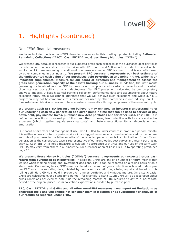

# 1. Highlights (continued)

# Non-IFRS financial measures

We have included certain non-IFRS financial measures in this trading update, including **Estimated Remaining Collections** ("ERC"), **Cash EBITDA** and **Gross Money Multiples** ("GMMs").

We present ERC because it represents our expected gross cash proceeds of the purchased debt portfolios recorded on our balance sheet over the 84-month, 120-month and 180-month periods. ERC is calculated as of a point in time assuming no additional purchases are made. ERC is a metric that is also often used by other companies in our industry. **We present ERC because it represents our best estimate of the undiscounted cash value of our purchased debt portfolios at any point in time, which is an important supplemental measure for our board of directors and management to assess the gross cash generation capacity of the assets backing our business**. In addition, the instruments governing our indebtedness use ERC to measure our compliance with certain covenants and, in certain circumstances, our ability to incur indebtedness. Our ERC projection, calculated by our proprietary analytical models, utilises historical portfolio collection performance data and assumptions about future collection rates. While we cannot guarantee that we will achieve such collections and while our ERC projection may not be comparable to similar metrics used by other companies in our industry, our ERC forecasts have historically proven to be somewhat conservative through all phases of the economic cycle.

**We present Cash EBITDA because we believe it may enhance an investor's understanding of our underlying cash flow generation at a given point in time that can be used to service or pay down debt, pay income taxes, purchase new debt portfolios and for other uses.** Cash EBITDA is defined as collections on owned portfolios plus other turnover, less collection activity costs and other expenses (which together equals servicing costs) and before exceptional items, depreciation and amortisation.

Our board of directors and management use Cash EBITDA to understand cash profit in a period, mindful it is neither a proxy for future periods (since it is a lagged measure which can be influenced by the volume and mix of purchases in the latter months of the reported period), nor is it an indication of run off cash generation as the current cost base is representative of our front loaded cost curves and recent purchasing activity. Cash EBITDA is not a measure calculated in accordance with IFRS and our use of the term Cash EBITDA may vary from others in our industry. For a reconciliation of Cash EBITDA to operating profit, see page 20.

**We present Gross Money Multiples ("GMMs") because it represents our expected gross cash return from purchased debt portfolios.** In addition, GMMs are one of a number of return metrics that we use when making pricing and investment decisions. GMMs can be reported on a rolling basis or on a static basis. On a rolling basis, GMMs are calculated as the sum of gross collections achieved to date plus our ERC as at the reporting date, divided by purchase price. All things being equal and based on this rolling definition, GMMs should improve over time as portfolios and vintages mature. On a static basis, GMMs are calculated over a static time-period – for example, a static 120m GMM will be based upon either gross collections achieved to date plus the remaining months of ERC required to get to a 120m total period or the original priced 120m collection expectations, divided by purchase price.

**ERC, Cash EBITDA and GMMs and all other non-IFRS measures have important limitations as analytical tools and you should not consider them in isolation or as substitutes for analysis of our results as reported under IFRS.**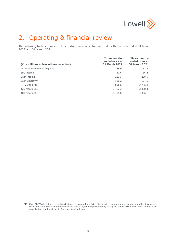

# 2. Operating & financial review

The following table summarises key performance indicators at, and for the periods ended 31 March 2022 and 31 March 2021.

| (£ in millions unless otherwise noted) | <b>Three months</b><br>ended or as at<br><b>31 March 2022</b> | Three months<br>ended or as at<br>31 March 2021 |
|----------------------------------------|---------------------------------------------------------------|-------------------------------------------------|
| Portfolio investments acquired         | 188.0                                                         | 33.4                                            |
| 3PC income                             | 31.6                                                          | 36.2                                            |
| Cash income                            | 217.3                                                         | 228.6                                           |
| Cash $EBITDA(1)$                       | 126.2                                                         | 124.5                                           |
| 84 month ERC                           | 3,096.6                                                       | 2,786.4                                         |
| 120 month ERC                          | 3,762.3                                                       | 3,388.8                                         |
| 180 month ERC                          | 4,458.0                                                       | 4,036.1                                         |
|                                        |                                                               |                                                 |

(1) Cash EBITDA is defined as cash collections on acquired portfolios plus service revenue, other revenue and other income less collection activity costs and other expenses (which together equal operating costs) and before exceptional items, depreciation, amortisation and impairment of non-performing loans.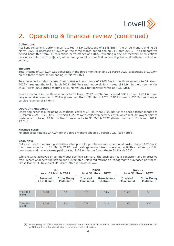

# 2. Operating & financial review (continued)

#### **Collections**

Resilient collections performance resulted in DP Collections of £185.6m in the three months ending 31 March 2022, a decrease of £6.8m on the three month period ending 31 March 2021. The comparative period benefitted from UK collections performance of 118%, reflecting a one-off recovery of collections previously deferred from Q2-20, when management actions had paused litigation and outbound collection activity.

#### **Income**

Total income of £145.2m was generated in the three months ending 31 March 2022, a decrease of £29.9m on the three month period ending 31 March 2021.

Total income includes income from portfolio investments of £105.6m in the three months to 31 March 2022 (three months to 31 March 2021: £99.7m) and net portfolio write-up of £4.9m in the three months to 31 March 2022 (three months to 31 March 2021 net portfolio write-up: £30.5m).

Service revenue in the three months to 31 March 2022 of £34.3m included 3PC income of £31.6m and lawyer service revenue of £2.7m (three months to 31 March 2021: 3PC income of £36.2m and lawyer service revenue of £7.6m).

#### **Operating expenses**

Operating expenses, including exceptional costs of £5.1m, were £109.0m for the period (three months to 31 March 2021: £129.3m). Of which £62.8m were collection activity costs, which include lawyer service costs which totalled £3.0m in the three months to 31 March 2022 (three months to 31 March 2021: £7.7m).

#### **Finance costs**

Finance costs totalled £47.2m for the three months ended 31 March 2022, see note 3.

#### **Cash flow**

Net cash used in operating activities after portfolio purchases and exceptional costs totalled £82.5m in the three months to 31 March 2022. Net cash generated from operating activities before portfolio purchases and income taxes paid totalled £129.0m in the 3 months to 31 March 2022.

While returns achieved on an individual portfolio can vary, the business has a consistent and impressive track record of generating strong and sustainable unlevered returns on its aggregate purchased portfolios. Gross Money Multiple as at 31 March 2022 is shown below.

|                    |                                 | <b>UK</b><br><b>As at 31 March 2022</b> |                                   | <b>DACH</b><br><b>As at 31 March 2022</b> |                                   | <b>Nordics</b><br><b>As at 31 March 2022</b> |  |
|--------------------|---------------------------------|-----------------------------------------|-----------------------------------|-------------------------------------------|-----------------------------------|----------------------------------------------|--|
|                    | <b>Invested</b><br>(£ millions) | <b>Gross Money</b><br>Multiple $(1)$    | <b>Invested</b><br>$(E$ millions) | <b>Gross Money</b><br>Multiple $(1)$      | <b>Invested</b><br>$(E$ millions) | <b>Gross Money</b><br>Multiple $(1)$         |  |
| Total 120<br>month | 2,331                           | 2.6x                                    | 769                               | 3.0x                                      | 1,537                             | 2.3x                                         |  |
|                    |                                 |                                         |                                   |                                           |                                   |                                              |  |
| Total 180<br>month | 2,331                           | 2.8x                                    | 769                               | 3.1x                                      | 1,537                             | 2.4x                                         |  |

(1) Gross Money Multiple presented in this quarterly report only includes actuals to date and forecast collections for the next 120 or 180 months, although collections can extend past that period.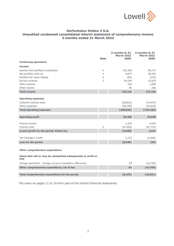

# **Garfunkelux Holdco 2 S.A. Unaudited condensed consolidated interim statement of comprehensive income 3 months ended 31 March 2022**

|                                                                          | <b>Note</b>    | 3 months to 31<br><b>March 2022</b><br>£000 | 3 months to 31<br><b>March 2021</b><br>£000 |
|--------------------------------------------------------------------------|----------------|---------------------------------------------|---------------------------------------------|
| <b>Continuing operations</b>                                             |                |                                             |                                             |
| <b>Income</b>                                                            |                |                                             |                                             |
| Income from portfolio investments                                        | 4              | 105,569                                     | 99,737                                      |
| Net portfolio write up                                                   | $\overline{4}$ | 4,877                                       | 30,462                                      |
| Portfolio fair value release                                             | $\overline{4}$ | (95)                                        | (276)                                       |
| Service revenue                                                          | 2              | 34,326                                      | 43,815                                      |
| Other revenue                                                            |                | 452                                         | 1,080                                       |
| Other income                                                             |                | 96                                          | 286                                         |
| <b>Total income</b>                                                      |                | 145,225                                     | 175,104                                     |
| <b>Operating expenses</b>                                                |                |                                             |                                             |
| Collection activity costs                                                |                | (62, 821)                                   | (74, 437)                                   |
| Other expenses                                                           |                | (46, 195)                                   | (54, 819)                                   |
| <b>Total operating expenses</b>                                          |                | (109, 016)                                  | (129, 256)                                  |
|                                                                          |                |                                             |                                             |
| <b>Operating profit</b>                                                  |                | 36,209                                      | 45,848                                      |
| Finance income                                                           |                | 1,333                                       | 4,553                                       |
| Finance costs                                                            | 3              | (47, 202)                                   | (47, 770)                                   |
| (Loss)/profit for the period, before tax                                 |                | (9,660)                                     | 2,631                                       |
| Tax (charge) / credit                                                    |                | 1,121                                       | (2,696)                                     |
| Loss for the period                                                      |                | (8,539)                                     | (65)                                        |
| Other comprehensive expenditure                                          |                |                                             |                                             |
| Items that will or may be reclassified subsequently to profit or<br>loss |                |                                             |                                             |
| Foreign operations - foreign currency translation differences            |                | 63                                          | (16, 766)                                   |
| Other comprehensive expenditure, net of tax                              |                | 63                                          | (16, 766)                                   |
|                                                                          |                |                                             |                                             |

The notes on pages 11 to 19 form part of the interim financial statements.

**Total comprehensive expenditure for the period (8,476) (16,831)**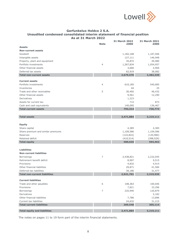

# **Garfunkelux Holdco 2 S.A. Unaudited condensed consolidated interim statement of financial position As at 31 March 2022**

|                                                             |                | <b>31 March 2022</b> | 31 March 2021<br>£000 |
|-------------------------------------------------------------|----------------|----------------------|-----------------------|
| <b>Assets</b>                                               | <b>Note</b>    | £000                 |                       |
| <b>Non-current assets</b>                                   |                |                      |                       |
| Goodwill                                                    |                | 1,182,168            | 1,187,406             |
| Intangible assets                                           |                | 127,111              | 146,948               |
| Property, plant and equipment                               |                | 35,872               | 49,980                |
| Portfolio investments                                       | 4              | 1,267,834            | 1,054,957             |
| Other financial assets                                      |                | 3,666                | 4,966                 |
| Deferred tax assets                                         |                | 62,919               | 38,082                |
| <b>Total non-current assets</b>                             |                | 2,679,570            | 2,482,339             |
|                                                             |                |                      |                       |
| <b>Current assets</b>                                       |                |                      |                       |
| Portfolio investments                                       | 4              | 610,185              | 540,685               |
| Inventories                                                 |                | 44                   | 25                    |
| Trade and other receivables                                 | 5              | 30,492               | 46,432                |
| Other financial assets                                      |                | 9,561                | 12,290                |
| Derivatives                                                 |                | 1,223                |                       |
| Assets for current tax                                      |                | 714                  | 873                   |
| Cash and cash equivalents                                   |                | 140,095              | 136,467               |
| <b>Total current assets</b>                                 |                | 792,314              | 736,772               |
|                                                             |                |                      |                       |
| <b>Total assets</b>                                         |                | 3,471,884            | 3,219,111             |
|                                                             |                |                      |                       |
| <b>Equity</b>                                               |                |                      |                       |
|                                                             |                |                      |                       |
| Share capital                                               |                | 4,385                | 4,385                 |
| Share premium and similar premiums                          |                | 1,109,586            | 1,109,586             |
| Reserves                                                    |                | (122, 822)           | (120, 980)            |
| Retained deficit                                            |                | (410, 514)           | (398, 529)            |
| <b>Total equity</b>                                         |                | 580,635              | 594,462               |
|                                                             |                |                      |                       |
| <b>Liabilities</b>                                          |                |                      |                       |
| <b>Non-current liabilities</b>                              |                |                      |                       |
| <b>Borrowings</b>                                           | $\overline{7}$ | 2,438,821            | 2,232,045             |
| Retirement benefit deficit                                  |                | 8,997                | 9,515                 |
| Provisions                                                  |                | 4,832                | 4,914                 |
| Other financial liabilities                                 |                | 29,871               | 41,584                |
| Deferred tax liabilities                                    |                | 39,180               | 31,477                |
| <b>Total non-current liabilities</b>                        |                | 2,521,701            | 2,319,535             |
| <b>Current liabilities</b>                                  |                |                      |                       |
| Trade and other payables                                    | 6              | 108,363              |                       |
| Provisions                                                  |                | 7,821                | 100,646<br>33,296     |
| Borrowings                                                  | 7              |                      |                       |
| Derivatives                                                 |                | 220,946              | 120,879<br>5,182      |
|                                                             |                |                      |                       |
| Other financial liabilities                                 |                | 7,786                | 13,896                |
| Current tax liabilities<br><b>Total current liabilities</b> |                | 24,632               | 31,215                |
|                                                             |                | 369,548              | 305,114               |
| <b>Total equity and liabilities</b>                         |                | 3,471,884            | 3,219,111             |

The notes on pages 11 to 19 form part of the interim financial statements.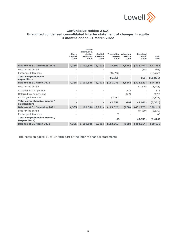

# **Garfunkelux Holdco 2 S.A. Unaudited condensed consolidated interim statement of changes in equity 3 months ended 31 March 2022**

|                                               | <b>Share</b><br>Capital<br>£000 | <b>Share</b><br>premium &<br>similar<br>premiums<br>£000 | Capital<br><b>Reserve</b><br>£000 | <b>Translation Valuation</b><br>reserve<br>£000 | reserve<br>£000 | <b>Retained</b><br>deficit<br>£000 | <b>Total</b><br>£000 |
|-----------------------------------------------|---------------------------------|----------------------------------------------------------|-----------------------------------|-------------------------------------------------|-----------------|------------------------------------|----------------------|
| <b>Balance at 31 December 2020</b>            | 4,385                           | 1,109,586                                                | (8, 291)                          | (94, 309)                                       | (1,614)         | (398, 464)                         | 611,293              |
| Loss for the period                           |                                 |                                                          |                                   |                                                 |                 | (65)                               | (65)                 |
| Exchange differences                          |                                 |                                                          |                                   | (16, 766)                                       |                 |                                    | (16, 766)            |
| <b>Total comprehensive</b><br>expenditure     |                                 |                                                          | Ξ.                                | (16,766)                                        |                 | (65)                               | (16, 831)            |
| Balance at 31 March 2021                      | 4,385                           | 1,109,586                                                | (8, 291)                          | $(111,075)$ $(1,614)$                           |                 | (398, 529)                         | 594,462              |
| Loss for the period                           |                                 |                                                          |                                   |                                                 |                 | (3, 446)                           | (3, 446)             |
| Actuarial loss on pension                     |                                 |                                                          |                                   | $\overline{\phantom{0}}$                        | 818             |                                    | 818                  |
| Deferred tax on pensions                      |                                 |                                                          |                                   | $\overline{\phantom{0}}$                        | (172)           |                                    | (172)                |
| Exchange differences                          |                                 |                                                          |                                   | (2, 551)                                        |                 | $\overline{\phantom{a}}$           | (2, 551)             |
| Total comprehensive income/<br>(expenditure)  |                                 |                                                          | -                                 | (2, 551)                                        | 646             | (3, 446)                           | (5, 351)             |
| <b>Balance at 31 December 2021</b>            | 4,385                           | 1,109,586                                                | (8, 291)                          | (113, 626)                                      | (968)           | (401, 975)                         | 589,111              |
| Loss for the period                           |                                 |                                                          |                                   |                                                 |                 | (8, 539)                           | (8, 539)             |
| Exchange differences                          |                                 |                                                          |                                   | 63                                              |                 |                                    | 63                   |
| Total comprehensive income /<br>(expenditure) |                                 |                                                          |                                   | 63                                              |                 | (8,539)                            | (8, 476)             |
| <b>Balance at 31 March 2022</b>               | 4,385                           | 1,109,586                                                | (8, 291)                          | (113, 563)                                      | (968)           | (410, 514)                         | 580,635              |
|                                               |                                 |                                                          |                                   |                                                 |                 |                                    |                      |

The notes on pages 11 to 19 form part of the interim financial statements.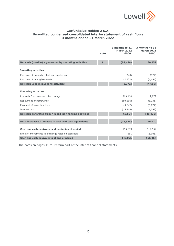

# **Garfunkelux Holdco 2 S.A. Unaudited condensed consolidated interim statement of cash flows 3 months ended 31 March 2022**

|                                                          | <b>Note</b> | 3 months to 31<br><b>March 2022</b><br>£000 | 3 months to 31<br><b>March 2021</b><br>£000 |
|----------------------------------------------------------|-------------|---------------------------------------------|---------------------------------------------|
| Net cash (used in) / generated by operating activities   | 8           | (82, 486)                                   | 80,957                                      |
| <b>Investing activities</b>                              |             |                                             |                                             |
| Purchase of property, plant and equipment                |             | (240)                                       | (122)                                       |
| Purchase of intangible assets                            |             | (2, 132)                                    | (4, 494)                                    |
| Net cash used in investing activities                    |             | (2, 372)                                    | (4, 616)                                    |
| <b>Financing activities</b>                              |             |                                             |                                             |
| Proceeds from loans and borrowings                       |             | 269,160                                     | 2,979                                       |
| Repayment of borrowings                                  |             | (180, 866)                                  | (36, 231)                                   |
| Payment of lease liabilities                             |             | (3,842)                                     | (5,077)                                     |
| Interest paid                                            |             | (15,948)                                    | (11,092)                                    |
| Net cash generated from / (used in) financing activities |             | 68,504                                      | (49, 421)                                   |
|                                                          |             |                                             |                                             |
| Net (decrease) / increase in cash and cash equivalents   |             | (16, 354)                                   | 26,920                                      |
| Cash and cash equivalents at beginning of period         |             | 155,889                                     | 114,552                                     |
| Effect of movements in exchange rates on cash held       |             | 561                                         | (5,005)                                     |
| Cash and cash equivalents at end of period               |             | 140,096                                     | 136,467                                     |

The notes on pages 11 to 19 form part of the interim financial statements.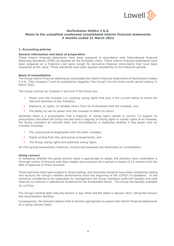

#### **1. Accounting policies**

#### **General information and basis of preparation**

These interim financial statements have been prepared in accordance with International Financial Reporting Standards (IFRS) as adopted by the European Union. These interim financial statements have been prepared on a historical cost basis except for derivative financial instruments that have been measured at fair value. Those standards have been applied consistently to the historical periods.

#### **Basis of consolidation**

The Group interim financial statements consolidate the interim financial statements of Garfunkelux Holdco 2 S.A. ("the Company") and its subsidiaries (together "the Group") for the three month period ending 31 March  $2022$ .

The Group controls an investee if and only if the Group has:

- Power over the investee (i.e. existing voting rights that give it the current ability to direct the  $\mathbf{\bar{z}}$ relevant activities of the investee);
- Exposure, or rights, to variable return from its involvement with the investee; and  $\mathbf{\bar{S}}$
- $\mathbf{S}$ The ability to use its power over the investee to affect its return.

Generally there is a presumption that a majority of voting rights results in control. To support its presumption and when the Group has less than a majority of voting rights or similar rights of an investee, the Group considers all relevant facts and circumstances in assessing whether it has power over an investee including:

- $\mathbf{S}$ The contractual arrangements with the other investee;
- $\mathbf{S}$ Rights arising from the contractual arrangements; and
- $\mathbf{S}$ The Group voting rights and potential voting rights.

All intra-group transactions, balances, income and expenses are eliminated on consolidation.

#### **Going concern**

In assessing whether the going concern basis is appropriate to adopt, the directors have undertaken a thorough review of forecast cash flow models and scenarios for a period in excess of 12 months from the date of approval of these accounts.

These scenarios have been subject to stress testing, and downside scenarios have been considered, taking into account the Group's resilient performance since the beginning of the COVID-19 pandemic. In the scenarios considered to be reasonable by management the Group maintains sufficient liquidity and cash reserves to continue in operational existence for the foreseeable future. The Group has liquidity available of c.£370m.

The Group's earliest debt maturity horizon is July 2025 and the latest is January 2027, being the Group's two securitisation facilities.

Consequently, the directors believe that it remains appropriate to prepare the interim financial statements on a going concern basis.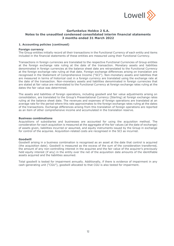

#### **1. Accounting policies (continued)**

#### **Foreign currency**

The Group entities initially record all their transactions in the Functional Currency of each entity and items included in the financial statements of these entities are measured using their Functional Currency.

Transactions in foreign currencies are translated to the respective Functional Currencies of Group entities at the foreign exchange rate ruling at the date of the transaction. Monetary assets and liabilities denominated in foreign currencies at the balance sheet date are retranslated to the Functional Currency at the foreign exchange rate ruling at that date. Foreign exchange differences arising on translation are recognised in the Statement of Comprehensive Income ("SCI"). Non-monetary assets and liabilities that are measured in terms of historical cost in a foreign currency are translated using the exchange rate at the date of the transaction. Non-monetary assets and liabilities denominated in foreign currencies that are stated at fair value are retranslated to the Functional Currency at foreign exchange rates ruling at the dates the fair value was determined.

The assets and liabilities of foreign operations, including goodwill and fair value adjustments arising on consolidation, are translated to the Group's Presentational Currency (Sterling) at foreign exchange rates ruling at the balance sheet date. The revenues and expenses of foreign operations are translated at an average rate for the period where this rate approximates to the foreign exchange rates ruling at the dates of the transactions. Exchange differences arising from this translation of foreign operations are reported as an item of other comprehensive income and accumulated in the translation reserve.

#### **Business combinations**

Acquisitions of subsidiaries and businesses are accounted for using the acquisition method. The consideration for each acquisition is measured at the aggregate of the fair values (at the date of exchange) of assets given, liabilities incurred or assumed, and equity instruments issued by the Group in exchange for control of the acquiree. Acquisition-related costs are recognised in the SCI as incurred.

#### **Goodwill**

Goodwill arising in a business combination is recognised as an asset at the date that control is acquired (the acquisition date). Goodwill is measured as the excess of the sum of the consideration transferred, the amount of any non-controlling interest in the acquiree and the fair value of the acquirer's previously held equity interest (if any) in the entity over the net of the acquisition date amounts of the identifiable assets acquired and the liabilities assumed.

Total goodwill is tested for impairment annually. Additionally, if there is evidence of impairment in any cash-generating unit ("CGU"), goodwill allocated to that CGU is also tested for impairment.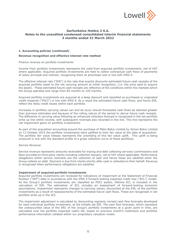

#### **1. Accounting policies (continued)**

#### **Revenue recognition and effective interest rate method**

#### *Finance revenue on portfolio investments*

Income from portfolio investments represents the yield from acquired portfolio investments, net of VAT where applicable. Acquired portfolio investments are held to collect contractual cash flows of payments of solely principal and interest, recognising them at amortised cost in line with IFRS 9.

The effective interest rate ("EIR") is the rate that exactly discounts estimated future cash receipts of the acquired portfolio asset to the net carrying amount at initial recognition, (i.e. the price paid to acquire the asset). These estimated future cash receipts are reflective of the conditions within the markets which the Group operates and range from 84 months to 120 months.

Acquired portfolio investments are acquired at a deep discount and classified as purchased or originated credit impaired ("POCI") in line with IFRS 9. As a result the estimated future cash flows, and hence EIR, reflect the likely credit losses within each portfolio.

Increases in portfolio carrying values can and do occur should forecasted cash flows be deemed greater than previous estimates and because of the rolling nature of the period to derive future cash receipts. The difference in carrying value following an enhanced collection forecast is recognised in the net portfolio write up line within income, with subsequent reversals also recorded in this line. This line represents the net impairment gains on portfolio investments.

As part of the acquisition accounting around the purchase of Metis Bidco Limited by Simon Bidco Limited on 13 October 2015 the portfolio investments were uplifted to their fair value at the date of acquisition. The portfolio fair value release represents the unwinding of this fair value uplift. This uplift is being unwound in line with the standard profile of a gross collection curve of these portfolios.

#### *Service Revenue*

Service revenue represents amounts receivable for tracing and debt collecting services (commissions and fees) provided to third party clients including collection lawyers, net of VAT where applicable. Performance obligations within service contracts are the collection of cash and hence these are satisfied when the Group collects on debt. Payment is due from clients shortly after cash is collected on their behalf. Revenue is recognised when performance obligations are satisfied.

#### **Impairment of acquired portfolio investments**

Acquired portfolio investments are reviewed for indications of impairment at the Statement of Financial Position ("SFP") date in accordance with the IFRS 9 forward looking expected credit loss ("ECL") model. As the Group's portfolio investments are classified as POCI assets, lifetime ECL is included in the calculation of EIR. The estimation of ECL includes an assessment of forward-looking economic assumptions. Impairment represents changes to carrying values, discounted at the EIR, of the portfolio investments as a result of reassessments of the estimated future cash flows. These are recognised in net portfolio write up in the SCI.

The impairment adjustment is calculated by discounting regularly revised cash flow forecasts developed for each individual portfolio investment, at the initially set EIR. The cash flow forecasts, which represent the undiscounted value of the ERC of the Group's portfolio investments at a given point in time, are calculated over the portfolio expected useful life, based on previous month's collections and portfolio performance information collated within our proprietary valuation model.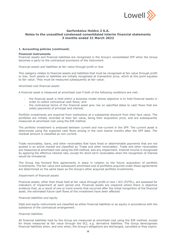

#### **1. Accounting policies (continued)**

#### **Financial instruments**

Financial assets and financial liabilities are recognised in the Group's consolidated SFP when the Group becomes a party to the contractual provisions of the instrument.

#### *Financial assets and liabilities at fair value through profit or loss*

This category relates to financial assets and liabilities that must be recognised at fair value through profit or loss. Such assets or liabilities are initially recognised at transaction price, which at this point equates to fair value. They must be measured subsequently at fair value.

#### *Amortised cost financial assets*

A financial asset is measured at amortised cost if both of the following conditions are met:

- the financial asset is held within a business model whose objective is to hold financial assets in order to collect contractual cash flows; and
- the contractual terms of the financial asset give rise on specified dates to cash flows that are solely payments of principal and interest.

Portfolio investments are acquired from institutions at a substantial discount from their face value. The portfolios are initially recorded at their fair value, being their acquisition price, and are subsequently measured at amortised cost using the EIR method.

The portfolio investment is analysed between current and non-current in the SFP. The current asset is determined using the expected cash flows arising in the next twelve months after the SFP date. The residual amount is classified as non-current.

Trade receivables, loans, and other receivables that have fixed or determinable payments that are not quoted in an active market are classified as 'Trade and other receivables'. Trade and other receivables are measured at amortised cost using the EIR method, less any impairment. Interest income is recognised by applying the effective interest rate, except for short-term receivables when the recognition of interest would be immaterial.

The Group has forward flow agreements in place in relation to the future acquisition of portfolio investments. The fair value and subsequent amortised cost of portfolios acquired under these agreements are determined on the same basis as the Group's other acquired portfolio investments.

#### *Impairment of financial assets*

Financial assets, other than those held at fair value through profit or loss / SCI (FVTPL), are assessed for indicators of impairment at each period end. Financial assets are impaired where there is objective evidence that, as a result of one or more events that occurred after the initial recognition of the financial asset, the estimated future cash flows of the investment have been affected.

#### *Financial liabilities and equity*

Debt and equity instruments are classified as either financial liabilities or as equity in accordance with the substance of the contractual arrangement.

#### *Financial liabilities*

All financial liabilities held by the Group are measured at amortised cost using the EIR method, except for those measured at fair value through the SCI, e.g. derivative liabilities. The Group derecognises financial liabilities when, and only when, the Group's obligations are discharged, cancelled or they expire.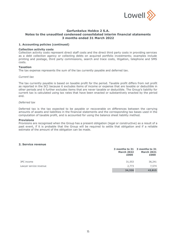

#### **1. Accounting policies (continued)**

#### **Collection activity costs**

Collection activity costs represent direct staff costs and the direct third party costs in providing services as a debt collection agency or collecting debts on acquired portfolio investments; examples include printing and postage, third party commissions, search and trace costs, litigation, telephone and SMS costs.

#### **Taxation**

The tax expense represents the sum of the tax currently payable and deferred tax.

#### *Current tax*

The tax currently payable is based on taxable profit for the period. Taxable profit differs from net profit as reported in the SCI because it excludes items of income or expense that are taxable or deductible in other periods and it further excludes items that are never taxable or deductible. The Group's liability for current tax is calculated using tax rates that have been enacted or substantively enacted by the period end.

#### *Deferred tax*

Deferred tax is the tax expected to be payable or recoverable on differences between the carrying amounts of assets and liabilities in the financial statements and the corresponding tax bases used in the computation of taxable profit, and is accounted for using the balance sheet liability method.

#### **Provisions**

Provisions are recognised when the Group has a present obligation (legal or constructive) as a result of a past event, if it is probable that the Group will be required to settle that obligation and if a reliable estimate of the amount of the obligation can be made.

#### **2. Service revenue**

|                        | <b>March 2022</b><br>£000 | 3 months to 31 3 months to 31<br><b>March 2021</b><br>£000 |
|------------------------|---------------------------|------------------------------------------------------------|
| 3PC income             | 31,553                    | 36,241                                                     |
| Lawyer service revenue | 2,773                     | 7,574                                                      |
|                        | 34,326                    | 43,815                                                     |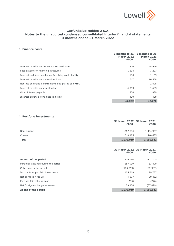

#### **3. Finance costs**

|                                                        | 3 months to 31<br><b>March 2022</b><br>£000 | 3 months to 31<br><b>March 2021</b><br>£000 |
|--------------------------------------------------------|---------------------------------------------|---------------------------------------------|
| Interest payable on the Senior Secured Notes           | 27,970                                      | 28,959                                      |
| Fees payable on financing structures                   | 1,694                                       | 1,207                                       |
| Interest and fees payable on Revolving credit facility | 1,130                                       | 1,169                                       |
| Interest payable on shareholder loan                   | 11,617                                      | 10,558                                      |
| Net loss on financial instruments designated as FVTPL  |                                             | 2,825                                       |
| Interest payable on securitisation                     | 4,093                                       | 1,605                                       |
| Other interest payable                                 | 208                                         | 989                                         |
| Interest expense from lease liabilities                | 490                                         | 458                                         |
|                                                        | 47,202                                      | 47,770                                      |

#### **4. Portfolio investments**

|              | 31 March 2022 31 March 2021<br>£000 | £000      |
|--------------|-------------------------------------|-----------|
| Non-current  | 1,267,834                           | 1,054,957 |
| Current      | 610,185                             | 540,685   |
| <b>Total</b> | 1,878,019                           | 1,595,642 |

|                                       | £000       | 31 March 2022 31 March 2021<br>£000 |
|---------------------------------------|------------|-------------------------------------|
| At start of the period                | 1,736,084  | 1,661,765                           |
| Portfolios acquired during the period | 187,999    | 33,420                              |
| Collections in the period             | (185, 553) | (192, 387)                          |
| Income from portfolio investments     | 105,569    | 99,737                              |
| Net portfolio write up                | 4,877      | 30,462                              |
| Portfolio fair value release          | (95)       | (276)                               |
| Net foreign exchange movement         | 29,138     | (37,079)                            |
| At end of the period                  | 1,878,019  | 1,595,642                           |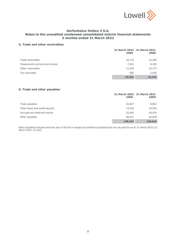

#### **5. Trade and other receivables**

|                                | 31 March 2022 31 March 2021<br>£000 | £000   |
|--------------------------------|-------------------------------------|--------|
| Trade receivables              | 10,116                              | 12,280 |
| Prepayments and accrued income | 7,545                               | 8,325  |
| Other receivables              | 12,249                              | 23,177 |
| Tax receivable                 | 582                                 | 2,650  |
|                                | 30,492                              | 46,432 |

# **6. Trade and other payables**

|                                 | 31 March 2022 31 March 2021<br>£000 | £000    |
|---------------------------------|-------------------------------------|---------|
| Trade payables                  | 20,827                              | 8,862   |
| Other taxes and social security | 13,410                              | 10,932  |
| Accruals and deferred income    | 25,655                              | 29,974  |
| Other payables                  | 48,471                              | 50,878  |
|                                 | 108,363                             | 100,646 |

Other payables includes amounts due of £6.0m in respect of portfolios purchased but not yet paid for as at 31 March 2022 (31 March 2021: £1.0m).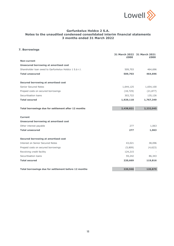

# **7. Borrowings**

|                                                        | 31 March 2022 31 March 2021<br>£000 | £000      |
|--------------------------------------------------------|-------------------------------------|-----------|
| Non-current                                            |                                     |           |
| <b>Unsecured borrowing at amortised cost</b>           |                                     |           |
| Shareholder Ioan owed to Garfunkelux Holdco 1 S.à r.l. | 509,703                             | 464,696   |
| <b>Total unsecured</b>                                 | 509,703                             | 464,696   |
| Secured borrowing at amortised cost                    |                                     |           |
| Senior Secured Notes                                   | 1,644,125                           | 1,654,100 |
| Prepaid costs on secured borrowings                    | (18, 729)                           | (21, 877) |
| Securitisation loans                                   | 303,722                             | 135,126   |
| <b>Total secured</b>                                   | 1,929,118                           | 1,767,349 |
| Total borrowings due for settlement after 12 months    | 2,438,821                           | 2,232,045 |
| <b>Current</b>                                         |                                     |           |
| <b>Unsecured borrowing at amortised cost</b>           |                                     |           |
| Other interest payable                                 | 277                                 | 1,063     |
| <b>Total unsecured</b>                                 | 277                                 | 1,063     |
| Secured borrowing at amortised cost                    |                                     |           |
| <b>Interest on Senior Secured Notes</b>                | 43,021                              | 38,096    |
| Prepaid costs on secured borrowings                    | (5,809)                             | (4,623)   |
| Revolving credit facility                              | 124,215                             |           |
| Securitisation loans                                   | 59,242                              | 86,343    |
| <b>Total secured</b>                                   | 220,669                             | 119,816   |
| Total borrowings due for settlement before 12 months   | 220,946                             | 120,879   |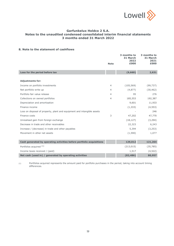

#### **8. Note to the statement of cashflows**

|                                                                         |                | 3 months to<br>31 March<br>2022 | 3 months to<br>31 March<br>2021 |
|-------------------------------------------------------------------------|----------------|---------------------------------|---------------------------------|
|                                                                         | <b>Note</b>    | £000                            | £000                            |
| Loss for the period before tax                                          |                | (9,660)                         | 2,631                           |
|                                                                         |                |                                 |                                 |
| <b>Adjustments for:</b>                                                 |                |                                 |                                 |
| Income on portfolio investments                                         | $\overline{4}$ | (105, 569)                      | (99, 737)                       |
| Net portfolio write up                                                  | 4              | (4,877)                         | (30, 462)                       |
| Portfolio fair value release                                            | 4              | 95                              | 276                             |
| Collections on owned portfolios                                         | $\overline{4}$ | 185,553                         | 192,387                         |
| Depreciation and amortisation                                           |                | 9,601                           | 11,933                          |
| Finance income                                                          |                | (1, 333)                        | (4, 553)                        |
| Loss on disposal of property, plant and equipment and intangible assets |                |                                 | 246                             |
| Finance costs                                                           | 3              | 47,202                          | 47,770                          |
| Unrealised gain from foreign exchange                                   |                | (18, 127)                       | (3, 294)                        |
| Decrease in trade and other receivables                                 |                | 22,323                          | 6,243                           |
| Increase / (decrease) in trade and other payables                       |                | 5,394                           | (3, 253)                        |
| Movement in other net assets                                            |                | (1,590)                         | 1,077                           |
|                                                                         |                |                                 |                                 |
| Cash generated by operating activities before portfolio acquisitions    |                | 129,012                         | 121,264                         |
| Portfolios acquired (1)                                                 |                | (213, 015)                      | (35, 785)                       |
| Income taxes received / (paid)                                          |                | 1,517                           | (4, 522)                        |
| Net cash (used in) / generated by operating activities                  |                | (82, 486)                       | 80,957                          |

(1) Portfolios acquired represents the amount paid for portfolio purchases in the period, taking into account timing differences.